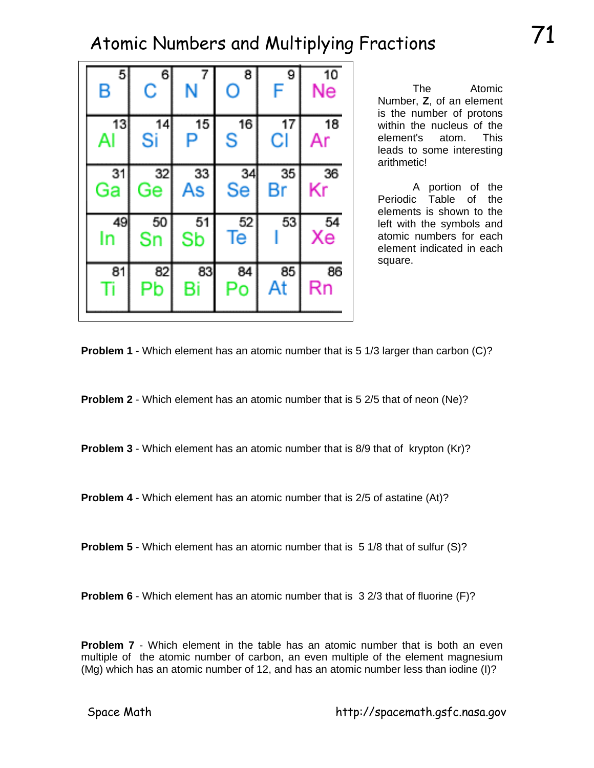| <b>Atomic</b> |  |  |  |
|---------------|--|--|--|

| 5        | 6        | 7        | 8         | 9  | 10                      |
|----------|----------|----------|-----------|----|-------------------------|
| Β        | Ć        | N        | O         | F  | Ne                      |
| 13       | 14       | 15       | 16        | 17 | 18                      |
| Al       | Si       | P        | S         | Cl | Ar                      |
| 31       | 32       | 33       | 34        | 35 | 36                      |
| Ga       | Ge       | As       | <b>Se</b> | Вr | Kr                      |
| 49<br>In | 50<br>Sn | 51<br>Sb | 52<br>ſe  | 53 | $\overline{x}_{e}^{54}$ |
| 81       | 82       | 83       | 84        | 85 | 86                      |
|          | Рb       | Bi       | Po        | At | Rn                      |

The Number, **Z**, of an element is the number of protons within the nucleus of the element's atom. This leads to some interesting arithmetic!

 A portion of the Periodic Table of the elements is shown to the left with the symbols and atomic numbers for each element indicated in each square.



**Problem 2** - Which element has an atomic number that is 5 2/5 that of neon (Ne)?

**Problem 3** - Which element has an atomic number that is 8/9 that of krypton (Kr)?

**Problem 4** - Which element has an atomic number that is 2/5 of astatine (At)?

**Problem 5** - Which element has an atomic number that is 5 1/8 that of sulfur (S)?

**Problem 6** - Which element has an atomic number that is 3 2/3 that of fluorine (F)?

**Problem 7** - Which element in the table has an atomic number that is both an even multiple of the atomic number of carbon, an even multiple of the element magnesium (Mg) which has an atomic number of 12, and has an atomic number less than iodine (I)?